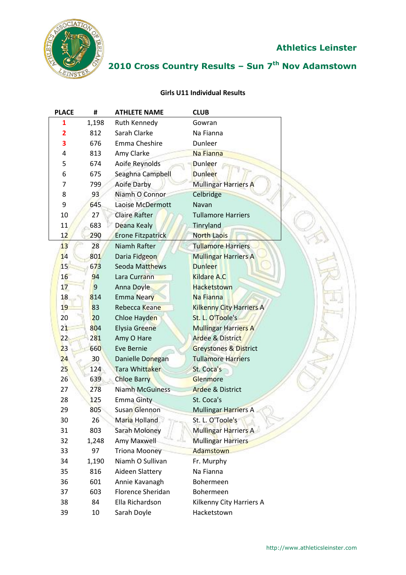

# **2010 Cross Country Results – Sun 7 th Nov Adamstown**

#### **Girls U11 Individual Results**

| <b>PLACE</b>    | #     | <b>ATHLETE NAME</b>      | <b>CLUB</b>                      |
|-----------------|-------|--------------------------|----------------------------------|
| 1               | 1,198 | Ruth Kennedy             | Gowran                           |
| 2               | 812   | Sarah Clarke             | Na Fianna                        |
| 3               | 676   | Emma Cheshire            | Dunleer                          |
| 4               | 813   | Amy Clarke               | Na Fianna                        |
| 5               | 674   | Aoife Reynolds           | <b>Dunleer</b>                   |
| 6               | 675   | Seaghna Campbell         | <b>Dunleer</b>                   |
| 7               | 799   | <b>Aoife Darby</b>       | <b>Mullingar Harriers A</b>      |
| 8               | 93    | Niamh O Connor           | Celbridge                        |
| 9               | 645   | Laoise McDermott         | Navan                            |
| 10              | 27    | <b>Claire Rafter</b>     | <b>Tullamore Harriers</b>        |
| 11              | 683   | Deana Kealy              | Tinryland                        |
| 12              | 290   | <b>Erone Fitzpatrick</b> | <b>North Laois</b>               |
| 13              | 28    | Niamh Rafter             | <b>Tullamore Harriers</b>        |
| 14              | 801   | Daria Fidgeon            | <b>Mullingar Harriers A</b>      |
| 15 <sup>′</sup> | 673   | <b>Seoda Matthews</b>    | <b>Dunleer</b>                   |
| 16              | 94    | Lara Currann             | <b>Kildare A.C.</b>              |
| 17              | 9     | Anna Doyle               | <b>Hacketstown</b>               |
| 18              | 814   | <b>Emma Neary</b>        | Na Fianna                        |
| 19              | 83    | Rebecca Keane            | <b>Kilkenny City Harriers A</b>  |
| 20              | 20    | Chloe Hayden             | St. L. O'Toole's                 |
| 21              | 804   | <b>Elysia Greene</b>     | <b>Mullingar Harriers A</b>      |
| 22              | 281   | Amy O Hare               | <b>Ardee &amp; District</b>      |
| 23              | 660   | Eve Bernie               | <b>Greystones &amp; District</b> |
| 24              | 30    | Danielle Donegan         | <b>Tullamore Harriers</b>        |
| 25              | 124   | <b>Tara Whittaker</b>    | St. Coca's                       |
| 26              | 639   | <b>Chloe Barry</b>       | Glenmore                         |
| 27              | 278   | <b>Niamh McGuiness</b>   | <b>Ardee &amp; District</b>      |
| 28              | 125   | <b>Emma Ginty</b>        | St. Coca's                       |
| 29              | 805   | Susan Glennon            | <b>Mullingar Harriers A</b>      |
| 30              | 26    | Maria Holland            | St. L. O'Toole's                 |
| 31              | 803   | Sarah Moloney            | <b>Mullingar Harriers A</b>      |
| 32              | 1,248 | Amy Maxwell              | <b>Mullingar Harriers</b>        |
| 33              | 97    | <b>Triona Mooney</b>     | Adamstown                        |
| 34              | 1,190 | Niamh O Sullivan         | Fr. Murphy                       |
| 35              | 816   | Aideen Slattery          | Na Fianna                        |
| 36              | 601   | Annie Kavanagh           | Bohermeen                        |
| 37              | 603   | <b>Florence Sheridan</b> | Bohermeen                        |
| 38              | 84    | Ella Richardson          | Kilkenny City Harriers A         |
| 39              | 10    | Sarah Doyle              | Hacketstown                      |

V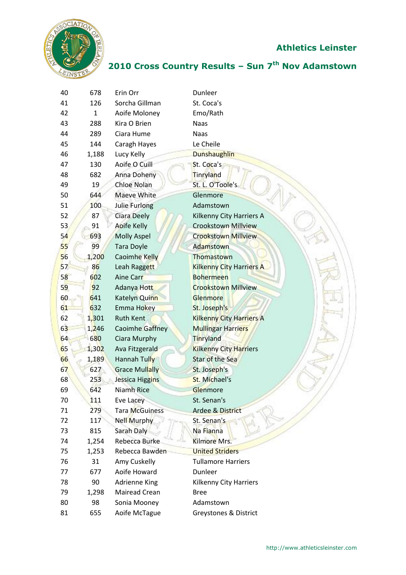

| 40 | 678          | Erin Orr               | Dunleer                         |
|----|--------------|------------------------|---------------------------------|
| 41 | 126          | Sorcha Gillman         | St. Coca's                      |
| 42 | $\mathbf{1}$ | Aoife Moloney          | Emo/Rath                        |
| 43 | 288          | Kira O Brien           | <b>Naas</b>                     |
| 44 | 289          | Ciara Hume             | <b>Naas</b>                     |
| 45 | 144          | Caragh Hayes           | Le Cheile                       |
| 46 | 1,188        | Lucy Kelly             | <b>Dunshaughlin</b>             |
| 47 | 130          | Aoife O Cuill          | St. Coca's                      |
| 48 | 682          | Anna Doheny            | Tinryland                       |
| 49 | 19           | Chloe Nolan            | St. L. O'Toole's                |
| 50 | 644          | Maeve White            | Glenmore                        |
| 51 | 100          | Julie Furlong          | Adamstown                       |
| 52 | 87           | <b>Ciara Deely</b>     | Kilkenny City Harriers A        |
| 53 | 91           | <b>Aoife Kelly</b>     | <b>Crookstown Millview</b>      |
| 54 | 693          | <b>Molly Aspel</b>     | <b>Crookstown Millview</b>      |
| 55 | 99           | <b>Tara Doyle</b>      | Adamstown                       |
| 56 | 1,200        | <b>Caoimhe Kelly</b>   | Thomastown                      |
| 57 | 86           | Leah Raggett           | <b>Kilkenny City Harriers A</b> |
| 58 | 602          | <b>Aine Carr</b>       | <b>Bohermeen</b>                |
| 59 | 92           | Adanya Hott            | <b>Crookstown Millview</b>      |
| 60 | 641          | Katelyn Quinn          | Glenmore                        |
| 61 | 632          | Emma Hokey             | St. Joseph's                    |
| 62 | 1,301        | <b>Ruth Kent</b>       | <b>Kilkenny City Harriers A</b> |
| 63 | 1,246        | <b>Caoimhe Gaffney</b> | <b>Mullingar Harriers</b>       |
| 64 | 680          | Ciara Murphy           | Tinryland                       |
| 65 | 1,302        | Ava Fitzgerald         | <b>Kilkenny City Harriers</b>   |
| 66 | 1,189        | Hannah Tully           | Star of the Sea                 |
| 67 | 627          | <b>Grace Mullally</b>  | St. Joseph's                    |
| 68 | 253          | Jessica Higgins        | St. Michael's                   |
| 69 | 642          | Niamh Rice             | Glenmore                        |
| 70 | 111          | Eve Lacey              | St. Senan's                     |
| 71 | 279          | <b>Tara McGuiness</b>  | <b>Ardee &amp; District</b>     |
| 72 | 117          | <b>Nell Murphy</b>     | St. Senan's                     |
| 73 | 815          | Sarah Daly             | Na Fianna                       |
| 74 | 1,254        | Rebecca Burke          | Kilmore Mrs.                    |
| 75 | 1,253        | Rebecca Bawden         | <b>United Striders</b>          |
| 76 | 31           | Amy Cuskelly           | <b>Tullamore Harriers</b>       |
| 77 | 677          | Aoife Howard           | Dunleer                         |
| 78 | 90           | Adrienne King          | Kilkenny City Harriers          |
| 79 | 1,298        | Mairead Crean          | <b>Bree</b>                     |
|    |              |                        |                                 |
| 80 | 98           | Sonia Mooney           | Adamstown                       |
| 81 | 655          | Aoife McTague          | Greystones & District           |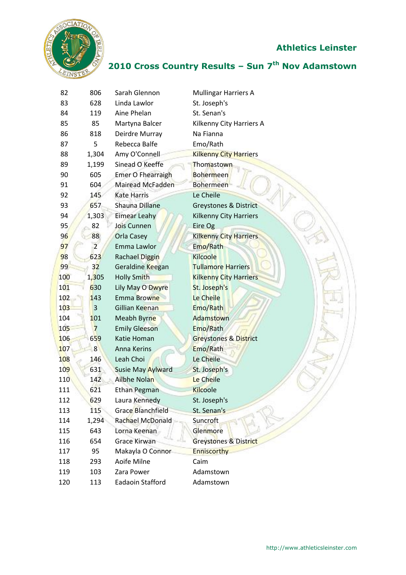



| 82         | 806            | Sarah Glennon            | <b>Mullingar Harriers A</b>      |
|------------|----------------|--------------------------|----------------------------------|
| 83         | 628            | Linda Lawlor             | St. Joseph's                     |
| 84         | 119            | Aine Phelan              | St. Senan's                      |
| 85         | 85             | Martyna Balcer           | Kilkenny City Harriers A         |
| 86         | 818            | Deirdre Murray           | Na Fianna                        |
| 87         | 5              | Rebecca Balfe            | Emo/Rath                         |
| 88         | 1,304          | Amy O'Connell            | <b>Kilkenny City Harriers</b>    |
| 89         | 1,199          | Sinead O Keeffe          | Thomastown                       |
| 90         | 605            | <b>Emer O Fhearraigh</b> | <b>Bohermeen</b>                 |
| 91         | 604            | Mairead McFadden         | <b>Bohermeen</b>                 |
| 92         | 145            | <b>Kate Harris</b>       | Le Cheile                        |
| 93         | 657            | Shauna Dillane           | Greystones & District            |
| 94         | 1,303          | <b>Eimear Leahy</b>      | <b>Kilkenny City Harriers</b>    |
| 95         | 82             | Jois Cunnen              | Eire Og                          |
| 96         | 88             | Orla Casey               | <b>Kilkenny City Harriers</b>    |
| 97         | $\overline{2}$ | Emma Lawlor              | Emo/Rath                         |
| 98         | 623            | Rachael Diggin           | <b>Kilcoole</b>                  |
| 99         | 32             | Geraldine Keegan         | <b>Tullamore Harriers</b>        |
| 100        | 1,305          | <b>Holly Smith</b>       | <b>Kilkenny City Harriers</b>    |
| 101        | 630            | Lily May O Dwyre         | St. Joseph's                     |
| 102        | 143            | Emma Browne              | Le Cheile                        |
| 103        | 3              | Gillian Keenan           | Emo/Rath                         |
| 104        | 101            | Meabh Byrne              | Adamstown                        |
| 105        | $\overline{7}$ | <b>Emily Gleeson</b>     | Emo/Rath                         |
| 106        | 659            | Katie Homan              | <b>Greystones &amp; District</b> |
| 107        | 8              | Anna Kerins              | Emo/Rath                         |
| 108        | 146            | Leah Choi                | Le Cheile                        |
| <b>109</b> | 631            | <b>Susie May Aylward</b> | St. Joseph's                     |
| 110        | 142            | Ailbhe Nolan             | Le Cheile                        |
| 111        | 621            | Ethan Pegman             | <b>Kilcoole</b>                  |
| 112        | 629            | Laura Kennedy            | St. Joseph's                     |
| 113        | 115            | Grace Blanchfield        | St. Senan's                      |
| 114        | 1,294          | Rachael McDonald         | <b>Suncroft</b>                  |
| 115        | 643            | Lorna Keenan             | Glenmore                         |
| 116        | 654            | <b>Grace Kirwan</b>      | <b>Greystones &amp; District</b> |
| 117        | 95             | Makayla O Connor         | <b>Enniscorthy</b>               |
| 118        | 293            | Aoife Milne              | Caim                             |
| 119        | 103            | Zara Power               | Adamstown                        |
| 120        | 113            | Eadaoin Stafford         | Adamstown                        |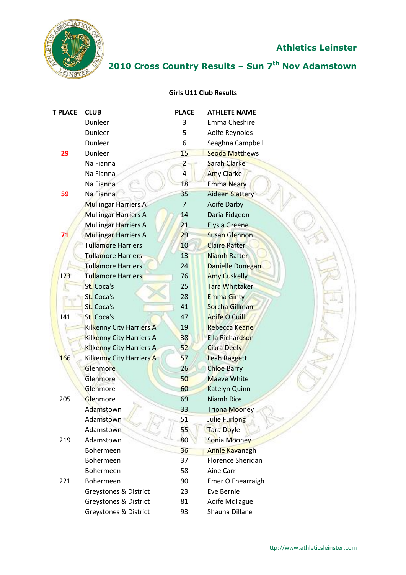

# **2010 Cross Country Results – Sun 7 th Nov Adamstown**

#### **Girls U11 Club Results**

| <b>T PLACE</b> | <b>CLUB</b>                     | <b>PLACE</b> | <b>ATHLETE NAME</b>     |
|----------------|---------------------------------|--------------|-------------------------|
|                | Dunleer                         | 3            | Emma Cheshire           |
|                | Dunleer                         | 5            | Aoife Reynolds          |
|                | Dunleer                         | 6            | Seaghna Campbell        |
| 29             | Dunleer                         | 15           | <b>Seoda Matthews</b>   |
|                | Na Fianna                       | 2            | <b>Sarah Clarke</b>     |
|                | Na Fianna                       | 4            | <b>Amy Clarke</b>       |
|                | Na Fianna                       | 18           | <b>Emma Neary</b>       |
| 59             | Na Fianna                       | 35           | <b>Aideen Slattery</b>  |
|                | <b>Mullingar Harriers A</b>     | 7            | Aoife Darby             |
|                | <b>Mullingar Harriers A</b>     | 14           | Daria Fidgeon           |
|                | <b>Mullingar Harriers A</b>     | 21           | Elysia Greene           |
| 71             | <b>Mullingar Harriers A</b>     | 29           | <b>Susan Glennon</b>    |
|                | <b>Tullamore Harriers</b>       | 10           | <b>Claire Rafter</b>    |
|                | <b>Tullamore Harriers</b>       | 13           | Niamh Rafter            |
|                | <b>Tullamore Harriers</b>       | 24           | <b>Danielle Donegan</b> |
| 123            | Tullamore Harriers              | 76           | <b>Amy Cuskelly</b>     |
|                | St. Coca's                      | 25           | <b>Tara Whittaker</b>   |
|                | St. Coca's                      | 28           | <b>Emma Ginty</b>       |
|                | St. Coca's                      | 41           | Sorcha Gillman          |
| 141            | St. Coca's                      | 47           | <b>Aoife O Cuill</b>    |
|                | Kilkenny City Harriers A        | 19           | Rebecca Keane           |
|                | Kilkenny City Harriers A        | 38           | Ella Richardson         |
|                | <b>Kilkenny City Harriers A</b> | 52           | <b>Ciara Deely</b>      |
| 166            | Kilkenny City Harriers A        | 57           | Leah Raggett            |
|                | <b>Glenmore</b>                 | 26           | <b>Chloe Barry</b>      |
|                | Glenmore                        | 50           | <b>Maeve White</b>      |
|                | Glenmore                        | 60           | Katelyn Quinn           |
| 205            | Glenmore                        | 69           | <b>Niamh Rice</b>       |
|                | Adamstown                       | 33           | <b>Triona Mooney</b>    |
|                | Adamstown                       | 51           | Julie Furlong           |
|                | Adamstown                       | 55           | Tara Doyle              |
| 219            | Adamstown                       | 80           | Sonia Mooney            |
|                | Bohermeen                       | 36           | <b>Annie Kavanagh</b>   |
|                | Bohermeen                       | 37           | Florence Sheridan       |
|                | Bohermeen                       | 58           | Aine Carr               |
| 221            | Bohermeen                       | 90           | Emer O Fhearraigh       |
|                | Greystones & District           | 23           | Eve Bernie              |
|                | Greystones & District           | 81           | Aoife McTague           |
|                | Greystones & District           | 93           | Shauna Dillane          |
|                |                                 |              |                         |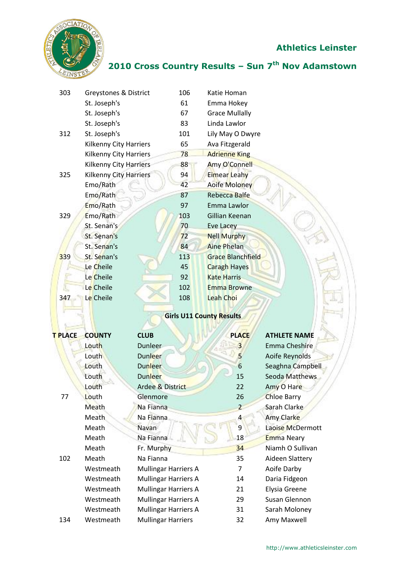

| 303     | Greystones & District         |                             | 106 | Katie Homan                     |                      |
|---------|-------------------------------|-----------------------------|-----|---------------------------------|----------------------|
|         | St. Joseph's                  |                             | 61  | Emma Hokey                      |                      |
|         | St. Joseph's                  |                             | 67  | <b>Grace Mullally</b>           |                      |
|         | St. Joseph's                  |                             | 83  | Linda Lawlor                    |                      |
| 312     | St. Joseph's                  |                             | 101 | Lily May O Dwyre                |                      |
|         | <b>Kilkenny City Harriers</b> |                             | 65  | Ava Fitzgerald                  |                      |
|         | <b>Kilkenny City Harriers</b> |                             | 78  | <b>Adrienne King</b>            |                      |
|         | Kilkenny City Harriers        |                             | 88  | <b>Amy O'Connell</b>            |                      |
| 325     | Kilkenny City Harriers        |                             | 94  | <b>Eimear Leahy</b>             |                      |
|         | Emo/Rath                      |                             | 42  | Aoife Moloney                   |                      |
|         | Emo/Rath                      |                             | 87  | <b>Rebecca Balfe</b>            |                      |
|         | Emo/Rath                      |                             | 97  | Emma Lawlor                     |                      |
| 329     | Emo/Rath                      |                             | 103 | Gillian Keenan                  |                      |
|         | St. Senan's                   |                             | 70  | <b>Eve Lacey</b>                |                      |
|         | St. Senan's                   |                             | 72  | <b>Nell Murphy</b>              |                      |
|         | St. Senan's                   |                             | 84  | <b>Aine Phelan</b>              |                      |
| 339     | St. Senan's                   |                             | 113 | <b>Grace Blanchfield</b>        |                      |
|         | Le Cheile                     |                             | 45  | <b>Caragh Hayes</b>             |                      |
|         | Le Cheile                     |                             | 92  | <b>Kate Harris</b>              |                      |
|         | Le Cheile                     |                             | 102 | <b>Emma Browne</b>              |                      |
| 347     | Le Cheile                     |                             | 108 | <b>Leah Choi</b>                |                      |
|         |                               |                             |     | <b>Girls U11 County Results</b> |                      |
| T PLACE | <b>COUNTY</b>                 | <b>CLUB</b>                 |     | <b>PLACE</b>                    | <b>ATHLETE NAME</b>  |
|         | Louth                         | Dunleer                     |     | 3                               | <b>Emma Cheshire</b> |
|         | Louth                         | <b>Dunleer</b>              |     | 5                               | Aoife Reynolds       |
|         | Louth                         | <b>Dunleer</b>              |     | 6                               | Seaghna Campbell     |
|         | Louth                         | <b>Dunleer</b>              |     | 15                              | Seoda Matthews       |
|         | Louth                         | Ardee & District            |     | 22                              | Amy O Hare           |
| 77      | Louth                         | Glenmore                    |     | 26                              | <b>Chloe Barry</b>   |
|         | Meath                         | Na Fianna                   |     | $\overline{2}$                  | Sarah Clarke         |
|         | Meath                         | Na Fianna                   |     | $\overline{4}$                  | Amy Clarke           |
|         | Meath                         | Navan                       |     | 9                               | Laoise McDermott     |
|         | Meath                         | Na Fianna                   |     | 18                              | <b>Emma Neary</b>    |
|         | Meath                         | Fr. Murphy                  |     | 34                              | Niamh O Sullivan     |
| 102     | Meath                         | Na Fianna                   |     | 35                              | Aideen Slattery      |
|         | Westmeath                     | <b>Mullingar Harriers A</b> |     | 7                               | Aoife Darby          |
|         | Westmeath                     | <b>Mullingar Harriers A</b> |     | 14                              | Daria Fidgeon        |
|         | Westmeath                     | <b>Mullingar Harriers A</b> |     | 21                              | Elysia Greene        |
|         | Westmeath                     | <b>Mullingar Harriers A</b> |     | 29                              | Susan Glennon        |
|         | Westmeath                     | Mullingar Harriers A        |     | 31                              | Sarah Moloney        |
| 134     | Westmeath                     | <b>Mullingar Harriers</b>   |     | 32                              | Amy Maxwell          |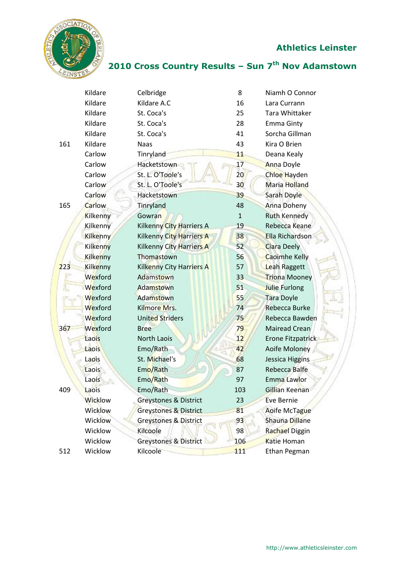

|     | Kildare         | Celbridge                        | 8               | Niamh O Connor       |
|-----|-----------------|----------------------------------|-----------------|----------------------|
|     | Kildare         | Kildare A.C                      | 16              | Lara Currann         |
|     | Kildare         | St. Coca's                       | 25              | Tara Whittaker       |
|     | Kildare         | St. Coca's                       | 28              | <b>Emma Ginty</b>    |
|     | Kildare         | St. Coca's                       | 41              | Sorcha Gillman       |
| 161 | Kildare         | <b>Naas</b>                      | 43              | Kira O Brien         |
|     | Carlow          | Tinryland                        | 11              | Deana Kealy          |
|     | Carlow          | Hacketstown                      | 17              | <b>Anna Doyle</b>    |
|     | Carlow          | St. L. O'Toole's                 | 20              | Chloe Hayden         |
|     | Carlow          | St. L. O'Toole's                 | 30 <sub>o</sub> | <b>Maria Holland</b> |
|     | Carlow          | Hacketstown                      | 39              | <b>Sarah Doyle</b>   |
| 165 | Carlow          | Tinryland                        | 48              | <b>Anna Doheny</b>   |
|     | Kilkenny        | Gowran                           | $\mathbf{1}$    | <b>Ruth Kennedy</b>  |
|     | Kilkenny        | <b>Kilkenny City Harriers A</b>  | 19              | Rebecca Keane        |
|     | <b>Kilkenny</b> | Kilkenny City Harriers A         | 38              | Ella Richardson      |
|     | Kilkenny        | Kilkenny City Harriers A         | 52              | <b>Ciara Deely</b>   |
|     | <b>Kilkenny</b> | Thomastown                       | 56              | <b>Caoimhe Kelly</b> |
| 223 | Kilkenny        | Kilkenny City Harriers A         | 57              | Leah Raggett         |
|     | Wexford         | Adamstown                        | 33              | <b>Triona Mooney</b> |
|     | Wexford         | Adamstown                        | 51              | <b>Julie Furlong</b> |
|     | Wexford         | Adamstown                        | 55              | <b>Tara Doyle</b>    |
|     | Wexford         | Kilmore Mrs.                     | 74              | Rebecca Burke        |
|     | Wexford         | <b>United Striders</b>           | 75              | Rebecca Bawden       |
| 367 | Wexford         | <b>Bree</b>                      | 79              | Mairead Crean        |
|     | Laois           | <b>North Laois</b>               | 12              | Erone Fitzpatrick    |
|     | Laois           | Emo/Rath                         | 42              | Aoife Moloney        |
|     | Laois           | St. Michael's                    | 68              | Jessica Higgins      |
|     | Laois           | Emo/Rath                         | 87              | <b>Rebecca Balfe</b> |
|     | Laois           | Emo/Rath                         | 97              | Emma Lawlor          |
| 409 | Laois           | Emo/Rath                         | 103             | Gillian Keenan       |
|     | <b>Wicklow</b>  | <b>Greystones &amp; District</b> | 23              | <b>Eve Bernie</b>    |
|     | <b>Wicklow</b>  | <b>Greystones &amp; District</b> | 81              | Aoife McTague        |
|     | Wicklow         | <b>Greystones &amp; District</b> | 93              | Shauna Dillane       |
|     | Wicklow         | Kilcoole                         | 98              | Rachael Diggin       |
|     | Wicklow         | Greystones & District            | 106             | Katie Homan          |
| 512 | Wicklow         | Kilcoole                         | 111             | Ethan Pegman         |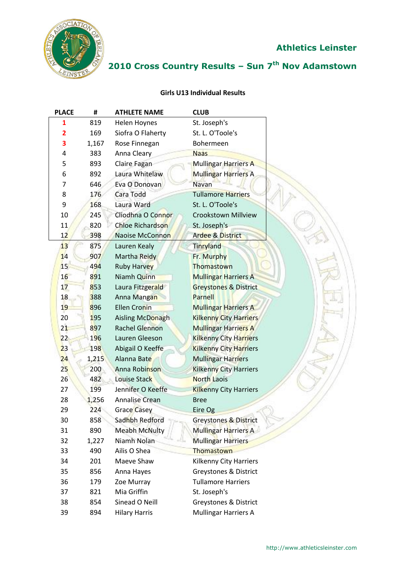

# **2010 Cross Country Results – Sun 7 th Nov Adamstown**

#### **Girls U13 Individual Results**

| <b>PLACE</b> | #     | <b>ATHLETE NAME</b>     | <b>CLUB</b>                      |
|--------------|-------|-------------------------|----------------------------------|
| 1            | 819   | Helen Hoynes            | St. Joseph's                     |
| 2            | 169   | Siofra O Flaherty       | St. L. O'Toole's                 |
| 3            | 1,167 | Rose Finnegan           | Bohermeen                        |
| 4            | 383   | Anna Cleary             | <b>Naas</b>                      |
| 5            | 893   | Claire Fagan            | Mullingar Harriers A             |
| 6            | 892   | Laura Whitelaw          | Mullingar Harriers A             |
| 7            | 646   | Eva O Donovan           | <b>Navan</b>                     |
| 8            | 176   | Cara Todd               | <b>Tullamore Harriers</b>        |
| 9            | 168   | Laura Ward              | St. L. O'Toole's                 |
| 10           | 245   | Cliodhna O Connor       | Crookstown Millview              |
| 11           | 820   | <b>Chloe Richardson</b> | St. Joseph's                     |
| 12           | 398   | Naoise McConnon         | <b>Ardee &amp; District</b>      |
| 13           | 875   | Lauren Kealy            | Tinryland                        |
| 14           | 907   | Martha Reidy            | Fr. Murphy                       |
| 15           | 494   | <b>Ruby Harvey</b>      | Thomastown                       |
| 16           | 891   | Niamh Quinn             | <b>Mullingar Harriers A</b>      |
| 17           | 853   | Laura Fitzgerald        | <b>Greystones &amp; District</b> |
| 18           | 388   | Anna Mangan             | Parnell                          |
| 19           | 896   | <b>Ellen Cronin</b>     | <b>Mullingar Harriers A</b>      |
| 20           | 195   | Aisling McDonagh        | <b>Kilkenny City Harriers</b>    |
| 21           | 897   | <b>Rachel Glennon</b>   | <b>Mullingar Harriers A</b>      |
| 22           | 196   | Lauren Gleeson          | <b>Kilkenny City Harriers</b>    |
| 23           | 198   | Abigail O Keeffe        | <b>Kilkenny City Harriers</b>    |
| 24           | 1,215 | Alanna Bate             | <b>Mullingar Harriers</b>        |
| 25           | 200   | Anna Robinson           | <b>Kilkenny City Harriers</b>    |
| 26           | 482   | Louise Stack            | <b>North Laois</b>               |
| 27           | 199   | Jennifer O Keeffe       | <b>Kilkenny City Harriers</b>    |
| 28           | 1,256 | <b>Annalise Crean</b>   | <b>Bree</b>                      |
| 29           | 224   | <b>Grace Casey</b>      | Eire Og                          |
| 30           | 858   | Sadhbh Redford          | Greystones & District            |
| 31           | 890   | <b>Meabh McNulty</b>    | <b>Mullingar Harriers A</b>      |
| 32           | 1,227 | Niamh Nolan             | <b>Mullingar Harriers</b>        |
| 33           | 490   | Ailis O Shea            | Thomastown                       |
| 34           | 201   | Maeve Shaw              | Kilkenny City Harriers           |
| 35           | 856   | Anna Hayes              | Greystones & District            |
| 36           | 179   | Zoe Murray              | <b>Tullamore Harriers</b>        |
| 37           | 821   | Mia Griffin             | St. Joseph's                     |
| 38           | 854   | Sinead O Neill          | <b>Greystones &amp; District</b> |
| 39           | 894   | <b>Hilary Harris</b>    | <b>Mullingar Harriers A</b>      |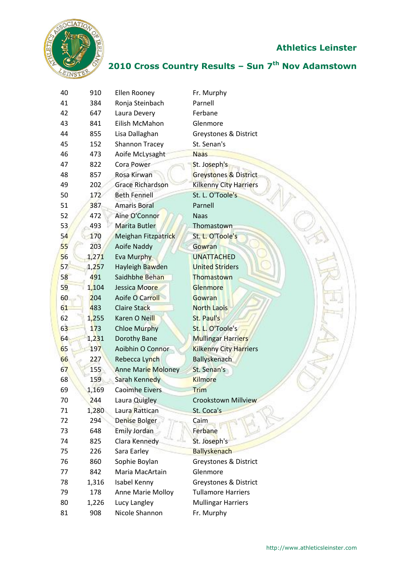

| 40 | 910   | Ellen Rooney              | Fr. Murphy                       |
|----|-------|---------------------------|----------------------------------|
| 41 | 384   | Ronja Steinbach           | Parnell                          |
| 42 | 647   | Laura Devery              | Ferbane                          |
| 43 | 841   | Eilish McMahon            | Glenmore                         |
| 44 | 855   | Lisa Dallaghan            | <b>Greystones &amp; District</b> |
| 45 | 152   | <b>Shannon Tracey</b>     | St. Senan's                      |
| 46 | 473   | Aoife McLysaght           | <b>Naas</b>                      |
| 47 | 822   | <b>Cora Power</b>         | St. Joseph's                     |
| 48 | 857   | Rosa Kirwan               | <b>Greystones &amp; District</b> |
| 49 | 202   | <b>Grace Richardson</b>   | <b>Kilkenny City Harriers</b>    |
| 50 | 172   | <b>Beth Fennell</b>       | St. L. O'Toole's                 |
| 51 | 387   | <b>Amaris Boral</b>       | Parnell                          |
| 52 | 472   | Aine O'Connor             | <b>Naas</b>                      |
| 53 | 493   | Marita Butler             | Thomastown                       |
| 54 | 170   | Meighan Fitzpatrick       | St. L. O'Toole's                 |
| 55 | 203   | Aoife Naddy               | Gowran                           |
| 56 | 1,271 | Eva Murphy                | <b>UNATTACHED</b>                |
| 57 | 1,257 | Hayleigh Bawden           | <b>United Striders</b>           |
| 58 | 491   | Saidhbhe Behan            | Thomastown                       |
| 59 | 1,104 | Jessica Moore             | Glenmore                         |
| 60 | 204   | Aoife O Carroll           | Gowran                           |
| 61 | 483   | Claire Stack              | <b>North Laois</b>               |
| 62 | 1,255 | Karen O Neill             | St. Paul's                       |
| 63 | 173   | <b>Chloe Murphy</b>       | St. L. O'Toole's                 |
| 64 | 1,231 | Dorothy Bane              | <b>Mullingar Harriers</b>        |
| 65 | 197   | Aoibhin O Connor          | <b>Kilkenny City Harriers</b>    |
| 66 | 227   | Rebecca Lynch             | <b>Ballyskenach</b>              |
| 67 | 155   | <b>Anne Marie Moloney</b> | St. Senan's                      |
| 68 | 159   | Sarah Kennedy             | <b>Kilmore</b>                   |
| 69 | 1,169 | Caoimhe Eivers            | <b>Trim</b>                      |
| 70 | 244   | Laura Quigley             | <b>Crookstown Millview</b>       |
| 71 | 1,280 | Laura Rattican            | St. Coca's                       |
| 72 | 294   | <b>Denise Bolger</b>      | Caim                             |
| 73 | 648   | <b>Emily Jordan</b>       | Ferbane                          |
| 74 | 825   | Clara Kennedy             | St. Joseph's                     |
| 75 | 226   | Sara Earley               | <b>Ballyskenach</b>              |
| 76 | 860   | Sophie Boylan             | <b>Greystones &amp; District</b> |
| 77 | 842   | Maria MacArtain           | Glenmore                         |
| 78 | 1,316 | Isabel Kenny              | Greystones & District            |
| 79 | 178   | Anne Marie Molloy         | <b>Tullamore Harriers</b>        |
| 80 | 1,226 | Lucy Langley              | <b>Mullingar Harriers</b>        |
| 81 | 908   | Nicole Shannon            | Fr. Murphy                       |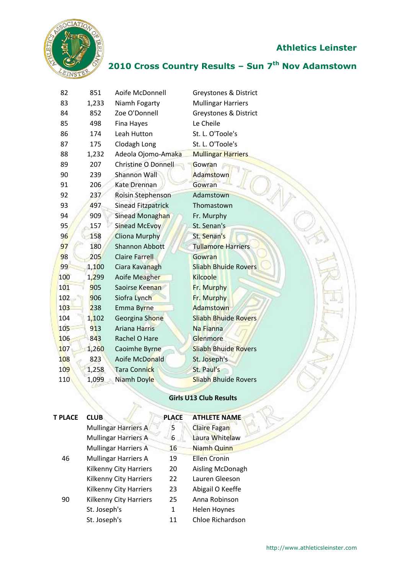

#### **2010 Cross Country Results – Sun 7 th Nov Adamstown**

| 82  | 851   | Aoife McDonnell           | Greystones & District       |
|-----|-------|---------------------------|-----------------------------|
| 83  | 1,233 | Niamh Fogarty             | <b>Mullingar Harriers</b>   |
| 84  | 852   | Zoe O'Donnell             | Greystones & District       |
| 85  | 498   | Fina Hayes                | Le Cheile                   |
| 86  | 174   | Leah Hutton               | St. L. O'Toole's            |
| 87  | 175   | Clodagh Long              | St. L. O'Toole's            |
| 88  | 1,232 | Adeola Ojomo-Amaka        | <b>Mullingar Harriers</b>   |
| 89  | 207   | Christine O Donnell       | Gowran                      |
| 90  | 239   | <b>Shannon Wall</b>       | Adamstown                   |
| 91  | 206   | <b>Kate Drennan</b>       | Gowran                      |
| 92  | 237   | Roisin Stephenson         | Adamstown                   |
| 93  | 497   | <b>Sinead Fitzpatrick</b> | Thomastown                  |
| 94  | 909   | Sinead Monaghan           | Fr. Murphy                  |
| 95  | 157   | <b>Sinead McEvoy</b>      | St. Senan's                 |
| 96  | 158   | <b>Cliona Murphy</b>      | St. Senan's                 |
| 97  | 180   | <b>Shannon Abbott</b>     | <b>Tullamore Harriers</b>   |
| 98  | 205   | <b>Claire Farrell</b>     | Gowran                      |
| 99  | 1,100 | Ciara Kavanagh            | <b>Sliabh Bhuide Rovers</b> |
| 100 | 1,299 | Aoife Meagher             | <b>Kilcoole</b>             |
| 101 | 905   | Saoirse Keenan            | Fr. Murphy                  |
| 102 | 906   | Siofra Lynch              | Fr. Murphy                  |
| 103 | 238   | Emma Byrne                | Adamstown                   |
| 104 | 1,102 | Georgina Shone            | <b>Sliabh Bhuide Rovers</b> |
| 105 | 913   | <b>Ariana Harris</b>      | Na Fianna                   |
| 106 | 843   | Rachel O Hare             | Glenmore                    |
| 107 | 1,260 | Caoimhe Byrne             | <b>Sliabh Bhuide Rovers</b> |
| 108 | 823   | Aoife McDonald            | St. Joseph's                |
| 109 | 1,258 | <b>Tara Connick</b>       | St. Paul's                  |
| 110 | 1,099 | Niamh Doyle               | <b>Sliabh Bhuide Rovers</b> |
|     |       |                           |                             |

#### **Girls U13 Club Results**

| T PLACE | <b>CLUB</b>                 | <b>PLACE</b> | <b>ATHLETE NAME</b> |
|---------|-----------------------------|--------------|---------------------|
|         | <b>Mullingar Harriers A</b> | 5            | <b>Claire Fagan</b> |
|         | <b>Mullingar Harriers A</b> | 6            | Laura Whitelaw      |
|         | <b>Mullingar Harriers A</b> | 16           | Niamh Quinn         |
| 46      | <b>Mullingar Harriers A</b> | 19           | <b>Ellen Cronin</b> |
|         | Kilkenny City Harriers      | 20           | Aisling McDonagh    |
|         | Kilkenny City Harriers      | 22           | Lauren Gleeson      |
|         | Kilkenny City Harriers      | 23           | Abigail O Keeffe    |
| 90      | Kilkenny City Harriers      | 25           | Anna Robinson       |
|         | St. Joseph's                | 1            | Helen Hoynes        |
|         | St. Joseph's                | 11           | Chloe Richardson    |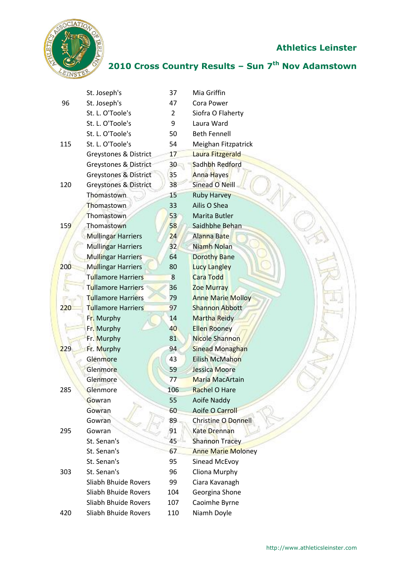

|     | St. Joseph's                     | 37              | Mia Griffin               |
|-----|----------------------------------|-----------------|---------------------------|
| 96  | St. Joseph's                     | 47              | Cora Power                |
|     | St. L. O'Toole's                 | $\overline{2}$  | Siofra O Flaherty         |
|     | St. L. O'Toole's                 | 9               | Laura Ward                |
|     | St. L. O'Toole's                 | 50              | <b>Beth Fennell</b>       |
| 115 | St. L. O'Toole's                 | 54              | Meighan Fitzpatrick       |
|     | Greystones & District            | 17              | Laura Fitzgerald          |
|     | Greystones & District            | 30 <sub>2</sub> | Sadhbh Redford            |
|     | <b>Greystones &amp; District</b> | 35              | Anna Hayes                |
| 120 | Greystones & District            | 38              | <b>Sinead O Neill</b>     |
|     | Thomastown                       | 15              | <b>Ruby Harvey</b>        |
|     | Thomastown                       | 33              | Ailis O Shea              |
|     | Thomastown                       | 53              | Marita Butler             |
| 159 | Thomastown                       | 58              | Saidhbhe Behan            |
|     | <b>Mullingar Harriers</b>        | 24              | Alanna Bate               |
|     | <b>Mullingar Harriers</b>        | 32              | Niamh Nolan               |
|     | <b>Mullingar Harriers</b>        | 64              | <b>Dorothy Bane</b>       |
| 200 | Mullingar Harriers               | 80              | <b>Lucy Langley</b>       |
|     | <b>Tullamore Harriers</b>        | 8               | <b>Cara Todd</b>          |
|     | <b>Tullamore Harriers</b>        | 36              | <b>Zoe Murray</b>         |
|     | <b>Tullamore Harriers</b>        | 79              | <b>Anne Marie Molloy</b>  |
| 220 | <b>Tullamore Harriers</b>        | 97              | <b>Shannon Abbott</b>     |
|     | Fr. Murphy                       | 14              | <b>Martha Reidy</b>       |
|     | Fr. Murphy                       | 40              | <b>Ellen Rooney</b>       |
|     | Fr. Murphy                       | 81              | <b>Nicole Shannon</b>     |
| 229 | Fr. Murphy                       | 94              | <b>Sinead Monaghan</b>    |
|     | Glenmore                         | 43              | <b>Eilish McMahon</b>     |
|     | Glenmore                         | 59              | Jessica Moore             |
|     | Glenmore                         | 77              | <b>Maria MacArtain</b>    |
| 285 | Glenmore                         | 106             | Rachel O Hare             |
|     | Gowran                           | 55              | Aoife Naddy               |
|     | Gowran                           | 60              | <b>Aoife O Carroll</b>    |
|     | Gowran                           | 89              | Christine O Donnell       |
| 295 | Gowran                           | 91              | <b>Kate Drennan</b>       |
|     | St. Senan's                      | 45              | <b>Shannon Tracey</b>     |
|     | St. Senan's                      | 67              | <b>Anne Marie Moloney</b> |
|     | St. Senan's                      | 95              | Sinead McEvoy             |
| 303 | St. Senan's                      | 96              | Cliona Murphy             |
|     | Sliabh Bhuide Rovers             | 99              | Ciara Kavanagh            |
|     | Sliabh Bhuide Rovers             | 104             | Georgina Shone            |
|     | Sliabh Bhuide Rovers             | 107             | Caoimhe Byrne             |
| 420 | Sliabh Bhuide Rovers             | 110             | Niamh Doyle               |
|     |                                  |                 |                           |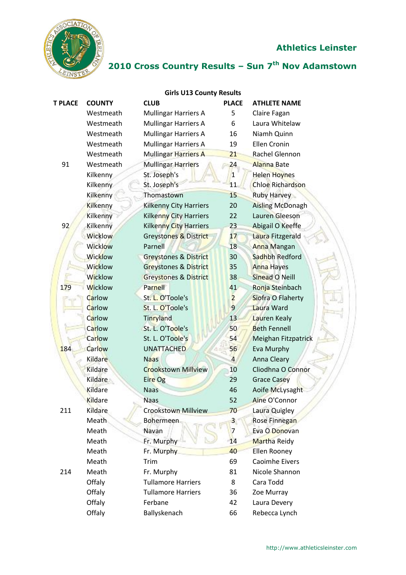

| <b>Girls U13 County Results</b> |                 |                                  |                |                         |  |  |  |
|---------------------------------|-----------------|----------------------------------|----------------|-------------------------|--|--|--|
| <b>T PLACE</b>                  | <b>COUNTY</b>   | <b>CLUB</b>                      | <b>PLACE</b>   | <b>ATHLETE NAME</b>     |  |  |  |
|                                 | Westmeath       | Mullingar Harriers A             | 5              | Claire Fagan            |  |  |  |
|                                 | Westmeath       | <b>Mullingar Harriers A</b>      | 6              | Laura Whitelaw          |  |  |  |
|                                 | Westmeath       | <b>Mullingar Harriers A</b>      | 16             | Niamh Quinn             |  |  |  |
|                                 | Westmeath       | <b>Mullingar Harriers A</b>      | 19             | <b>Ellen Cronin</b>     |  |  |  |
|                                 | Westmeath       | Mullingar Harriers A             | 21             | Rachel Glennon          |  |  |  |
| 91                              | Westmeath       | <b>Mullingar Harriers</b>        | 24             | <b>Alanna Bate</b>      |  |  |  |
|                                 | Kilkenny        | St. Joseph's                     | 1              | <b>Helen Hoynes</b>     |  |  |  |
|                                 | Kilkenny        | St. Joseph's                     | 11             | <b>Chloe Richardson</b> |  |  |  |
|                                 | Kilkenny        | Thomastown                       | 15             | <b>Ruby Harvey</b>      |  |  |  |
|                                 | <b>Kilkenny</b> | <b>Kilkenny City Harriers</b>    | 20             | <b>Aisling McDonagh</b> |  |  |  |
|                                 | Kilkenny        | <b>Kilkenny City Harriers</b>    | 22             | <b>Lauren Gleeson</b>   |  |  |  |
| 92                              | Kilkenny        | <b>Kilkenny City Harriers</b>    | 23             | Abigail O Keeffe        |  |  |  |
|                                 | <b>Wicklow</b>  | Greystones & District            | 17             | Laura Fitzgerald        |  |  |  |
|                                 | <b>Wicklow</b>  | Parnell                          | 18             | <b>Anna Mangan</b>      |  |  |  |
|                                 | <b>Wicklow</b>  | Greystones & District            | 30             | Sadhbh Redford          |  |  |  |
|                                 | Wicklow         | <b>Greystones &amp; District</b> | 35             | <b>Anna Hayes</b>       |  |  |  |
|                                 | <b>Wicklow</b>  | <b>Greystones &amp; District</b> | 38             | Sinead O Neill          |  |  |  |
| 179                             | <b>Wicklow</b>  | Parnell                          | 41             | Ronja Steinbach         |  |  |  |
|                                 | Carlow          | St. L. O'Toole's                 | $\overline{2}$ | Siofra O Flaherty       |  |  |  |
|                                 | Carlow          | St. L. O'Toole's                 | $\overline{9}$ | Laura Ward              |  |  |  |
|                                 | Carlow          | Tinryland                        | 13             | <b>Lauren Kealy</b>     |  |  |  |
|                                 | Carlow          | St. L. O'Toole's                 | 50             | <b>Beth Fennell</b>     |  |  |  |
|                                 | Carlow          | St. L. O'Toole's                 | 54             | Meighan Fitzpatrick     |  |  |  |
| 184                             | Carlow          | <b>UNATTACHED</b>                | 56             | Eva Murphy              |  |  |  |
|                                 | Kildare         | <b>Naas</b>                      | $\overline{4}$ | Anna Cleary             |  |  |  |
|                                 | Kildare         | <b>Crookstown Millview</b>       | 10             | Cliodhna O Connor       |  |  |  |
|                                 | Kildare         | Eire Og                          | 29             | <b>Grace Casey</b>      |  |  |  |
|                                 | Kildare         | <b>Naas</b>                      | 46             | Aoife McLysaght         |  |  |  |
|                                 | Kildare         | <b>Naas</b>                      | 52             | Aine O'Connor           |  |  |  |
| 211                             | Kildare         | <b>Crookstown Millview</b>       | 70             | Laura Quigley           |  |  |  |
|                                 | Meath           | <b>Bohermeen</b>                 | $\mathbf{3}$   | Rose Finnegan           |  |  |  |
|                                 | Meath           | Navan                            | 7              | Eva O Donovan           |  |  |  |
|                                 | Meath           | Fr. Murphy                       | 14             | Martha Reidy            |  |  |  |
|                                 | Meath           | Fr. Murphy                       | 40             | Ellen Rooney            |  |  |  |
|                                 | Meath           | Trim                             | 69             | <b>Caoimhe Eivers</b>   |  |  |  |
| 214                             | Meath           | Fr. Murphy                       | 81             | Nicole Shannon          |  |  |  |
|                                 | Offaly          | <b>Tullamore Harriers</b>        | 8              | Cara Todd               |  |  |  |
|                                 | Offaly          | <b>Tullamore Harriers</b>        | 36             | Zoe Murray              |  |  |  |
|                                 | Offaly          | Ferbane                          | 42             | Laura Devery            |  |  |  |
|                                 | Offaly          | Ballyskenach                     | 66             | Rebecca Lynch           |  |  |  |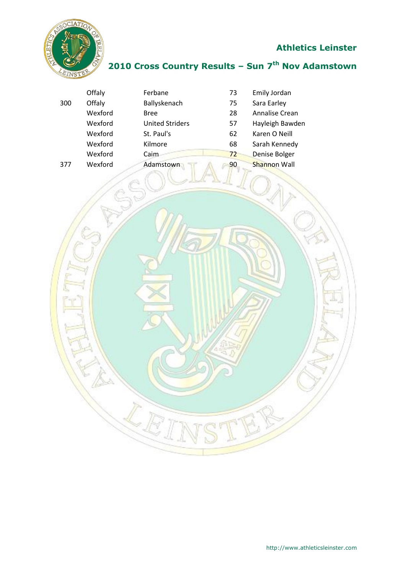

## **2010 Cross Country Results – Sun 7 th Nov Adamstown**

|     | Offaly  | Ferbane                | 73 | Emily Jordan        |
|-----|---------|------------------------|----|---------------------|
| 300 | Offaly  | Ballyskenach           | 75 | Sara Earley         |
|     | Wexford | <b>Bree</b>            | 28 | Annalise Crean      |
|     | Wexford | <b>United Striders</b> | 57 | Hayleigh Bawden     |
|     | Wexford | St. Paul's             | 62 | Karen O Neill       |
|     | Wexford | Kilmore                | 68 | Sarah Kennedy       |
|     | Wexford | Caim                   | 72 | Denise Bolger       |
| 377 | Wexford | Adamstown              | 90 | <b>Shannon Wall</b> |

 $\mathcal{L}$ 

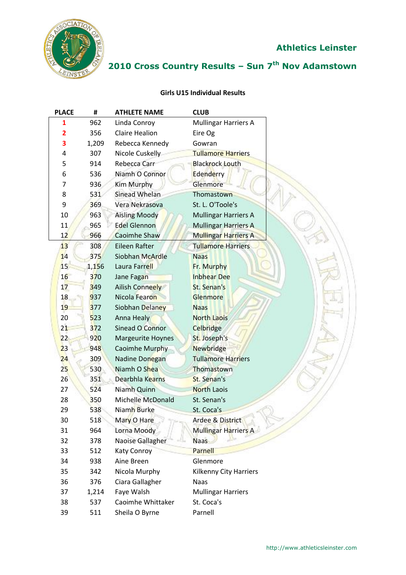

# **2010 Cross Country Results – Sun 7 th Nov Adamstown**

#### **Girls U15 Individual Results**

| <b>PLACE</b> | #     | <b>ATHLETE NAME</b>      | <b>CLUB</b>                 |
|--------------|-------|--------------------------|-----------------------------|
| 1            | 962   | Linda Conroy             | <b>Mullingar Harriers A</b> |
| 2            | 356   | <b>Claire Healion</b>    | Eire Og                     |
| 3            | 1,209 | Rebecca Kennedy          | Gowran                      |
| 4            | 307   | Nicole Cuskelly          | <b>Tullamore Harriers</b>   |
| 5            | 914   | Rebecca Carr             | <b>Blackrock Louth</b>      |
| 6            | 536   | Niamh O Connor           | Edenderry                   |
| 7            | 936   | Kim Murphy               | Glenmore                    |
| 8            | 531   | Sinead Whelan            | Thomastown                  |
| 9            | 369   | Vera Nekrasova           | St. L. O'Toole's            |
| 10           | 963   | <b>Aisling Moody</b>     | <b>Mullingar Harriers A</b> |
| 11           | 965   | <b>Edel Glennon</b>      | <b>Mullingar Harriers A</b> |
| 12           | 966   | <b>Caoimhe Shaw</b>      | <b>Mullingar Harriers A</b> |
| 13           | 308   | <b>Eileen Rafter</b>     | <b>Tullamore Harriers</b>   |
| 14           | 375   | Siobhan McArdle          | <b>Naas</b>                 |
| 15           | 1,156 | Laura Farrell            | Fr. Murphy                  |
| 16           | 370   | Jane Fagan               | <b>Inbhear Dee</b>          |
| 17           | 349   | Ailish Conneely          | St. Senan's                 |
| 18           | 937   | Nicola Fearon            | Glenmore                    |
| 19           | 377   | Siobhan Delaney          | <b>Naas</b>                 |
| 20           | 523   | Anna Healy               | <b>North Laois</b>          |
| 21           | 372   | Sinead O Connor          | <b>Celbridge</b>            |
| 22           | 920   | <b>Margeurite Hoynes</b> | St. Joseph's                |
| 23           | 948   | Caoimhe Murphy           | <b>Newbridge</b>            |
| 24           | 309   | Nadine Donegan           | <b>Tullamore Harriers</b>   |
| 25           | 530   | Niamh O Shea             | Thomastown                  |
| 26           | 351   | Dearbhla Kearns          | St. Senan's                 |
| 27           | 524   | Niamh Quinn              | <b>North Laois</b>          |
| 28           | 350   | Michelle McDonald        | St. Senan's                 |
| 29           | 538   | Niamh Burke              | St. Coca's                  |
| 30           | 518   | Mary O Hare              | Ardee & District            |
| 31           | 964   | Lorna Moody              | Mullingar Harriers A        |
| 32           | 378   | Naoise Gallagher         | <b>Naas</b>                 |
| 33           | 512   | <b>Katy Conroy</b>       | Parnell                     |
| 34           | 938   | Aine Breen               | Glenmore                    |
| 35           | 342   | Nicola Murphy            | Kilkenny City Harriers      |
| 36           | 376   | Ciara Gallagher          | <b>Naas</b>                 |
| 37           | 1,214 | Faye Walsh               | <b>Mullingar Harriers</b>   |
| 38           | 537   | Caoimhe Whittaker        | St. Coca's                  |
| 39           | 511   | Sheila O Byrne           | Parnell                     |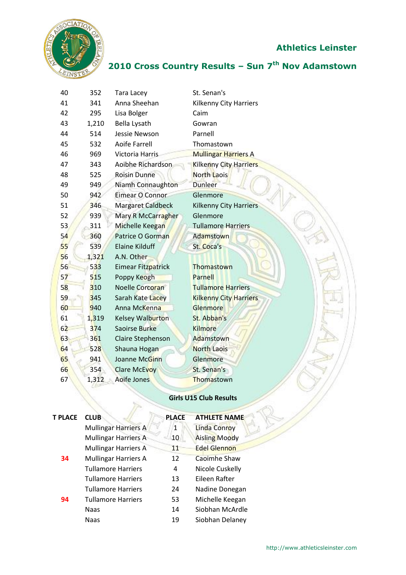

# **2010 Cross Country Results – Sun 7 th Nov Adamstown**

| 40 | 352   | <b>Tara Lacey</b>        | St. Senan's                   |
|----|-------|--------------------------|-------------------------------|
| 41 | 341   | Anna Sheehan             | <b>Kilkenny City Harriers</b> |
| 42 | 295   | Lisa Bolger              | Caim                          |
| 43 | 1,210 | Bella Lysath             | Gowran                        |
| 44 | 514   | Jessie Newson            | Parnell                       |
| 45 | 532   | <b>Aoife Farrell</b>     | Thomastown                    |
| 46 | 969   | Victoria Harris          | <b>Mullingar Harriers A</b>   |
| 47 | 343   | Aoibhe Richardson        | <b>Kilkenny City Harriers</b> |
| 48 | 525   | <b>Roisin Dunne</b>      | <b>North Laois</b>            |
| 49 | 949   | Niamh Connaughton        | <b>Dunleer</b>                |
| 50 | 942   | Eimear O Connor          | Glenmore                      |
| 51 | 346   | <b>Margaret Caldbeck</b> | <b>Kilkenny City Harriers</b> |
| 52 | 939   | Mary R McCarragher       | Glenmore                      |
| 53 | 311   | Michelle Keegan          | <b>Tullamore Harriers</b>     |
| 54 | 360   | Patrice O Gorman         | <b>Adamstown</b>              |
| 55 | 539   | <b>Elaine Kilduff</b>    | St. Coca's                    |
| 56 | 1,321 | A.N. Other               |                               |
| 56 | 533   | Eimear Fitzpatrick       | Thomastown                    |
| 57 | 515   | Poppy Keogh              | Parnell                       |
| 58 | 310   | Noelle Corcoran          | <b>Tullamore Harriers</b>     |
| 59 | 345   | Sarah Kate Lacey         | <b>Kilkenny City Harriers</b> |
| 60 | 940   | Anna McKenna             | Glenmore                      |
| 61 | 1,319 | Kelsey Walburton         | St. Abban's                   |
| 62 | 374   | Saoirse Burke            | <b>Kilmore</b>                |
| 63 | 361   | Claire Stephenson        | Adamstown                     |
| 64 | 528   | Shauna Hogan             | <b>North Laois</b>            |
| 65 | 941   | Joanne McGinn            | Glenmore                      |
| 66 | 354   | <b>Clare McEvoy</b>      | St. Senan's                   |
| 67 | 1,312 | Aoife Jones              | Thomastown                    |
|    |       |                          |                               |

## **Girls U15 Club Results**

| <b>T PLACE</b> | <b>CLUB</b>                 | <b>PLACE</b> | <b>ATHLETE NAME</b>  |
|----------------|-----------------------------|--------------|----------------------|
|                | <b>Mullingar Harriers A</b> | 1            | <b>Linda Conroy</b>  |
|                | <b>Mullingar Harriers A</b> | 10           | <b>Aisling Moody</b> |
|                | <b>Mullingar Harriers A</b> | 11           | <b>Edel Glennon</b>  |
| 34             | <b>Mullingar Harriers A</b> | 12           | <b>Caoimhe Shaw</b>  |
|                | <b>Tullamore Harriers</b>   | 4            | Nicole Cuskelly      |
|                | <b>Tullamore Harriers</b>   | 13           | Eileen Rafter        |
|                | <b>Tullamore Harriers</b>   | 24           | Nadine Donegan       |
| 94             | <b>Tullamore Harriers</b>   | 53           | Michelle Keegan      |
|                | <b>Naas</b>                 | 14           | Siobhan McArdle      |
|                | <b>Naas</b>                 | 19           | Siobhan Delaney      |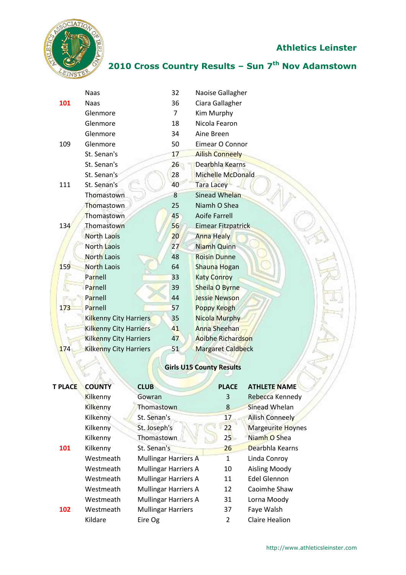

## **2010 Cross Country Results – Sun 7 th Nov Adamstown**

|     | <b>Naas</b>                   | 32             | Naoise Gallagher         |
|-----|-------------------------------|----------------|--------------------------|
| 101 | <b>Naas</b>                   | 36             | Ciara Gallagher          |
|     | Glenmore                      | $\overline{7}$ | Kim Murphy               |
|     | Glenmore                      | 18             | Nicola Fearon            |
|     | Glenmore                      | 34             | Aine Breen               |
| 109 | Glenmore                      | 50             | Eimear O Connor          |
|     | St. Senan's                   | 17             | <b>Ailish Conneely</b>   |
|     | St. Senan's                   | 26             | Dearbhla Kearns          |
|     | St. Senan's                   | 28             | Michelle McDonald        |
| 111 | St. Senan's                   | 40             | <b>Tara Lacey</b>        |
|     | Thomastown                    | 8              | <b>Sinead Whelan</b>     |
|     | Thomastown                    | 25             | Niamh O Shea             |
|     | Thomastown                    | 45             | <b>Aoife Farrell</b>     |
| 134 | Thomastown                    | 56             | Eimear Fitzpatrick       |
|     | <b>North Laois</b>            | 20             | Anna Healy               |
|     | <b>North Laois</b>            | 27             | <b>Niamh Quinn</b>       |
|     | <b>North Laois</b>            | 48             | <b>Roisin Dunne</b>      |
| 159 | North Laois                   | 64             | Shauna Hogan             |
|     | Parnell                       | 33             | <b>Katy Conroy</b>       |
|     | Parnell                       | 39             | <b>Sheila O Byrne</b>    |
|     | Parnell                       | 44             | <b>Jessie Newson</b>     |
| 173 | Parnell                       | 57             | <b>Poppy Keogh</b>       |
|     | Kilkenny City Harriers        | 35             | <b>Nicola Murphy</b>     |
|     | <b>Kilkenny City Harriers</b> | 41             | <b>Anna Sheehan</b>      |
|     | <b>Kilkenny City Harriers</b> | 47             | <b>Aoibhe Richardson</b> |
| 174 | <b>Kilkenny City Harriers</b> | 51             | <b>Margaret Caldbeck</b> |
|     |                               |                |                          |

# **Girls U15 County Results**

| <b>T PLACE</b> | <b>COUNTY</b> | <b>CLUB</b>                 | <b>PLACE</b>   | <b>ATHLETE NAME</b>      |
|----------------|---------------|-----------------------------|----------------|--------------------------|
|                | Kilkenny      | Gowran                      | 3              | Rebecca Kennedy          |
|                | Kilkenny      | Thomastown                  | 8              | Sinead Whelan            |
|                | Kilkenny      | St. Senan's                 | 17             | <b>Ailish Conneely</b>   |
|                | Kilkenny      | St. Joseph's                | 22             | <b>Margeurite Hoynes</b> |
|                | Kilkenny      | Thomastown                  | 25             | Niamh O Shea             |
| 101            | Kilkenny      | St. Senan's                 | 26             | Dearbhla Kearns          |
|                | Westmeath     | <b>Mullingar Harriers A</b> | 1              | Linda Conroy             |
|                | Westmeath     | <b>Mullingar Harriers A</b> | 10             | Aisling Moody            |
|                | Westmeath     | <b>Mullingar Harriers A</b> | 11             | <b>Edel Glennon</b>      |
|                | Westmeath     | <b>Mullingar Harriers A</b> | 12             | Caoimhe Shaw             |
|                | Westmeath     | <b>Mullingar Harriers A</b> | 31             | Lorna Moody              |
| 102            | Westmeath     | <b>Mullingar Harriers</b>   | 37             | Faye Walsh               |
|                | Kildare       | Eire Og                     | $\overline{2}$ | <b>Claire Healion</b>    |
|                |               |                             |                |                          |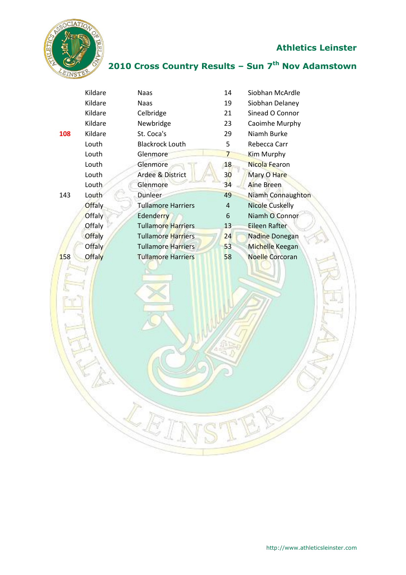

## **2010 Cross Country Results – Sun 7 th Nov Adamstown**

|     | Kildare       | <b>Naas</b>               | 14             | Siobhan McArdle          |
|-----|---------------|---------------------------|----------------|--------------------------|
|     | Kildare       | <b>Naas</b>               | 19             | Siobhan Delaney          |
|     | Kildare       | Celbridge                 | 21             | Sinead O Connor          |
|     | Kildare       | Newbridge                 | 23             | Caoimhe Murphy           |
| 108 | Kildare       | St. Coca's                | 29             | Niamh Burke              |
|     | Louth         | <b>Blackrock Louth</b>    | 5              | Rebecca Carr             |
|     | Louth         | Glenmore                  | $\overline{7}$ | Kim Murphy               |
|     | Louth         | Glenmore                  | 18             | Nicola Fearon            |
|     | Louth         | Ardee & District          | 30             | Mary O Hare              |
|     | Louth         | Glenmore                  | 34             | Aine Breen               |
| 143 | Louth         | Dunleer                   | 49             | <b>Niamh Connaughton</b> |
|     | <b>Offaly</b> | <b>Tullamore Harriers</b> | 4              | <b>Nicole Cuskelly</b>   |
|     | <b>Offaly</b> | <b>Edenderry</b>          | 6              | Niamh O Connor           |
|     | Offaly        | <b>Tullamore Harriers</b> | 13             | Eileen Rafter            |
|     | <b>Offaly</b> | <b>Tullamore Harriers</b> | 24             | <b>Nadine Donegan</b>    |
|     | <b>Offaly</b> | <b>Tullamore Harriers</b> | 53             | Michelle Keegan          |
| 158 | <b>Offaly</b> | <b>Tullamore Harriers</b> | 58             | <b>Noelle Corcoran</b>   |
|     |               |                           |                |                          |
|     |               |                           |                |                          |

 $\mathbb{Z}_E$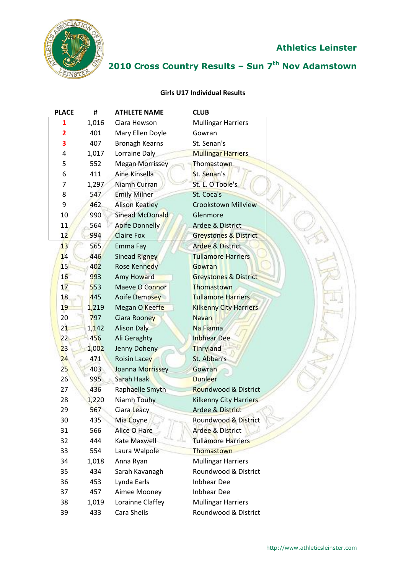

# **2010 Cross Country Results – Sun 7 th Nov Adamstown**

#### **Girls U17 Individual Results**

| <b>PLACE</b>   | #     | <b>ATHLETE NAME</b>    | <b>CLUB</b>                      |
|----------------|-------|------------------------|----------------------------------|
| 1              | 1,016 | Ciara Hewson           | <b>Mullingar Harriers</b>        |
| $\overline{2}$ | 401   | Mary Ellen Doyle       | Gowran                           |
| 3              | 407   | <b>Bronagh Kearns</b>  | St. Senan's                      |
| 4              | 1,017 | Lorraine Daly          | <b>Mullingar Harriers</b>        |
| 5              | 552   | <b>Megan Morrissey</b> | Thomastown                       |
| 6              | 411   | Aine Kinsella          | St. Senan's                      |
| 7              | 1,297 | Niamh Curran           | St. L. O'Toole's                 |
| 8              | 547   | <b>Emily Milner</b>    | St. Coca's                       |
| 9              | 462   | <b>Alison Keatley</b>  | <b>Crookstown Millview</b>       |
| 10             | 990   | Sinead McDonald        | Glenmore                         |
| 11             | 564   | <b>Aoife Donnelly</b>  | Ardee & District                 |
| 12             | 994   | <b>Claire Fox</b>      | Greystones & District            |
| 13             | 565   | Emma Fay               | <b>Ardee &amp; District</b>      |
| 14             | 446   | <b>Sinead Rigney</b>   | <b>Tullamore Harriers</b>        |
| 15             | 402   | <b>Rose Kennedy</b>    | Gowran                           |
| 16             | 993   | Amy Howard             | <b>Greystones &amp; District</b> |
| 17             | 553   | Maeve O Connor         | Thomastown                       |
| 18             | 445   | Aoife Dempsey          | <b>Tullamore Harriers</b>        |
| 19             | 1,219 | Megan O Keeffe         | <b>Kilkenny City Harriers</b>    |
| 20             | 797   | Ciara Rooney           | <b>Navan</b>                     |
| 21             | 1,142 | <b>Alison Daly</b>     | Na Fianna                        |
| 22             | 456   | Ali Geraghty           | <b>Inbhear Dee</b>               |
| 23             | 1,002 | Jenny Doheny           | Tinryland                        |
| 24             | 471   | <b>Roisin Lacey</b>    | St. Abban's                      |
| 25             | 403   | Joanna Morrissey       | Gowran                           |
| 26             | 995   | Sarah Haak             | <b>Dunleer</b>                   |
| 27             | 436   | Raphaelle Smyth        | Roundwood & District             |
| 28             | 1,220 | Niamh Touhy            | <b>Kilkenny City Harriers</b>    |
| 29             | 567   | Ciara Leacy            | <b>Ardee &amp; District</b>      |
| 30             | 435   | Mia Coyne              | Roundwood & District             |
| 31             | 566   | Alice O Hare           | <b>Ardee &amp; District</b>      |
| 32             | 444   | <b>Kate Maxwell</b>    | <b>Tullamore Harriers</b>        |
| 33             | 554   | Laura Walpole          | Thomastown                       |
| 34             | 1,018 | Anna Ryan              | <b>Mullingar Harriers</b>        |
| 35             | 434   | Sarah Kavanagh         | Roundwood & District             |
| 36             | 453   | Lynda Earls            | <b>Inbhear Dee</b>               |
| 37             | 457   | Aimee Mooney           | <b>Inbhear Dee</b>               |
| 38             | 1,019 | Lorainne Claffey       | <b>Mullingar Harriers</b>        |
| 39             | 433   | Cara Sheils            | Roundwood & District             |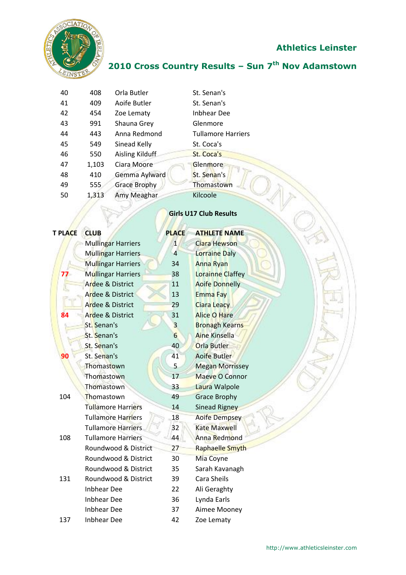

 $\sqrt{2}$ 

# **Athletics Leinster**

# **2010 Cross Country Results – Sun 7 th Nov Adamstown**

| 40 | 408   | Orla Butler            | St. Senan's               |
|----|-------|------------------------|---------------------------|
| 41 | 409   | Aoife Butler           | St. Senan's               |
| 42 | 454   | Zoe Lematy             | <b>Inbhear Dee</b>        |
| 43 | 991   | Shauna Grey            | Glenmore                  |
| 44 | 443   | Anna Redmond           | <b>Tullamore Harriers</b> |
| 45 | 549   | Sinead Kelly           | St. Coca's                |
| 46 | 550   | <b>Aisling Kilduff</b> | St. Coca's                |
| 47 | 1,103 | Ciara Moore            | Glenmore                  |
| 48 | 410   | Gemma Aylward          | St. Senan's               |
| 49 | 555   | <b>Grace Brophy</b>    | Thomastown                |
| 50 | 1,313 | Amy Meaghar            | Kilcoole                  |
|    |       |                        |                           |

#### **Girls U17 Club Results**

| <b>CLUB</b>               | <b>PLACE</b>            | <b>ATHLETE NAME</b>     |
|---------------------------|-------------------------|-------------------------|
| <b>Mullingar Harriers</b> | $\mathbf{1}$            | Ciara Hewson            |
| <b>Mullingar Harriers</b> | $\overline{4}$          | <b>Lorraine Daly</b>    |
| <b>Mullingar Harriers</b> | 34                      | <b>Anna Ryan</b>        |
| <b>Mullingar Harriers</b> | 38                      | <b>Lorainne Claffey</b> |
| Ardee & District          | 11                      | <b>Aoife Donnelly</b>   |
| Ardee & District          | 13                      | <b>Emma Fay</b>         |
| Ardee & District          | 29                      | <b>Ciara Leacy</b>      |
| Ardee & District          | 31                      | <b>Alice O Hare</b>     |
| St. Senan's               | $\overline{\mathbf{3}}$ | <b>Bronagh Kearns</b>   |
| St. Senan's               | $6\overline{6}$         | <b>Aine Kinsella</b>    |
| St. Senan's               | 40                      | <b>Orla Butler</b>      |
| St. Senan's               | 41                      | Aoife Butler            |
| Thomastown                | 5                       | <b>Megan Morrissey</b>  |
| Thomastown                | 17                      | <b>Maeve O Connor</b>   |
| Thomastown                | 33                      | Laura Walpole           |
| Thomastown                | 49                      | <b>Grace Brophy</b>     |
| <b>Tullamore Harriers</b> | 14                      | <b>Sinead Rigney</b>    |
| <b>Tullamore Harriers</b> | 18                      | <b>Aoife Dempsey</b>    |
| <b>Tullamore Harriers</b> | 32                      | <b>Kate Maxwell</b>     |
| <b>Tullamore Harriers</b> | 44                      | Anna Redmond            |
| Roundwood & District      | 27                      | <b>Raphaelle Smyth</b>  |
| Roundwood & District      | 30                      | Mia Coyne               |
| Roundwood & District      | 35                      | Sarah Kavanagh          |
| Roundwood & District      | 39                      | Cara Sheils             |
| <b>Inbhear Dee</b>        | 22                      | Ali Geraghty            |
| <b>Inbhear Dee</b>        | 36                      | Lynda Earls             |
| <b>Inbhear Dee</b>        | 37                      | Aimee Mooney            |
| <b>Inbhear Dee</b>        | 42                      | Zoe Lematy              |
|                           |                         |                         |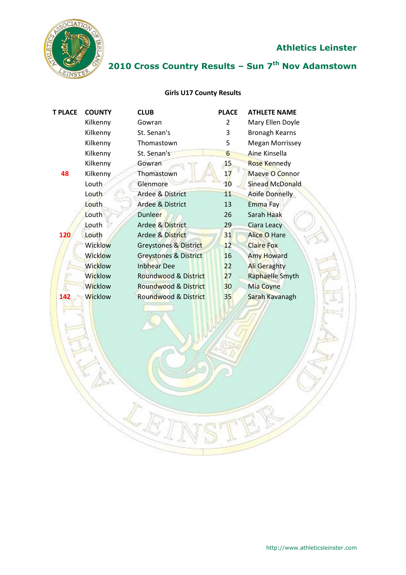

# **2010 Cross Country Results – Sun 7 th Nov Adamstown**

#### **Girls U17 County Results**

| <b>T PLACE</b> | <b>COUNTY</b>  | <b>CLUB</b>                      | <b>PLACE</b> | <b>ATHLETE NAME</b>    |
|----------------|----------------|----------------------------------|--------------|------------------------|
|                | Kilkenny       | Gowran                           | 2            | Mary Ellen Doyle       |
|                | Kilkenny       | St. Senan's                      | 3            | <b>Bronagh Kearns</b>  |
|                | Kilkenny       | Thomastown                       | 5            | <b>Megan Morrissey</b> |
|                | Kilkenny       | St. Senan's                      | 6            | Aine Kinsella          |
|                | Kilkenny       | Gowran                           | 15           | Rose Kennedy           |
| 48             | Kilkenny       | Thomastown                       | 17           | Maeve O Connor         |
|                | Louth          | Glenmore                         | 10           | <b>Sinead McDonald</b> |
|                | Louth          | Ardee & District                 | 11           | <b>Aoife Donnelly</b>  |
|                | Louth          | Ardee & District                 | 13           | Emma Fay               |
|                | Louth          | <b>Dunleer</b>                   | 26           | Sarah Haak             |
|                | Louth          | Ardee & District                 | 29           | Ciara Leacy            |
| 120            | Louth          | Ardee & District                 | 31           | <b>Alice O Hare</b>    |
|                | Wicklow        | Greystones & District            | 12           | <b>Claire Fox</b>      |
|                | <b>Wicklow</b> | <b>Greystones &amp; District</b> | 16           | <b>Amy Howard</b>      |
|                | Wicklow        | <b>Inbhear Dee</b>               | 22           | <b>Ali Geraghty</b>    |
|                | Wicklow        | Roundwood & District             | 27           | Raphaelle Smyth        |
|                | Wicklow        | Roundwood & District             | 30           | Mia Coyne              |
| 142            | <b>Wicklow</b> | <b>Roundwood &amp; District</b>  | 35           | Sarah Kavanagh         |
|                |                |                                  |              |                        |

LE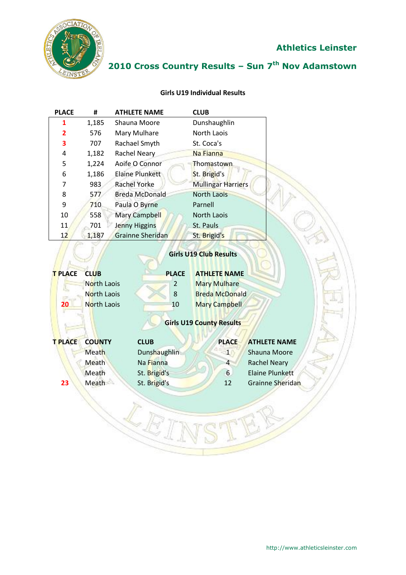

# **2010 Cross Country Results – Sun 7 th Nov Adamstown**

#### **Girls U19 Individual Results**

| <b>PLACE</b>         | #                                                               | <b>ATHLETE NAME</b>          | <b>CLUB</b>                                                                                                                    |                        |
|----------------------|-----------------------------------------------------------------|------------------------------|--------------------------------------------------------------------------------------------------------------------------------|------------------------|
| 1                    | 1,185                                                           | Shauna Moore                 | Dunshaughlin                                                                                                                   |                        |
| $\overline{2}$       | 576                                                             | Mary Mulhare                 | North Laois                                                                                                                    |                        |
| 3                    | 707                                                             | Rachael Smyth                | St. Coca's                                                                                                                     |                        |
| 4                    | 1,182                                                           | Rachel Neary                 | Na Fianna                                                                                                                      |                        |
| 5                    | 1,224                                                           | Aoife O Connor               | Thomastown                                                                                                                     |                        |
| 6                    | 1,186                                                           | <b>Elaine Plunkett</b>       | St. Brigid's                                                                                                                   |                        |
| 7                    | 983                                                             | <b>Rachel Yorke</b>          | <b>Mullingar Harriers</b>                                                                                                      |                        |
| 8                    | 577                                                             | <b>Breda McDonald</b>        | <b>North Laois</b>                                                                                                             |                        |
| 9                    | 710                                                             | Paula O Byrne                | Parnell                                                                                                                        |                        |
| 10                   | 558                                                             | Mary Campbell                | <b>North Laois</b>                                                                                                             |                        |
| 11                   | 701                                                             | <b>Jenny Higgins</b>         | St. Pauls                                                                                                                      |                        |
| 12                   | 1,187                                                           | <b>Grainne Sheridan</b>      | St. Brigid's                                                                                                                   |                        |
| <b>T PLACE</b><br>20 | <b>CLUB</b><br><b>North Laois</b><br>North Laois<br>North Laois | <b>PLACE</b><br>2<br>8<br>10 | <b>ATHLETE NAME</b><br><b>Mary Mulhare</b><br><b>Breda McDonald</b><br><b>Mary Campbell</b><br><b>Girls U19 County Results</b> |                        |
| <b>T PLACE</b>       | <b>COUNTY</b>                                                   | <b>CLUB</b>                  | <b>PLACE</b>                                                                                                                   | <b>ATHLETE NAME</b>    |
|                      | <b>Meath</b>                                                    | Dunshaughlin                 | $\mathbf{1}$                                                                                                                   | Shauna Moore           |
|                      | Meath                                                           | Na Fianna                    | 4                                                                                                                              | <b>Rachel Neary</b>    |
|                      | Meath                                                           | St. Brigid's                 | 6                                                                                                                              | <b>Elaine Plunkett</b> |
| 23                   | Meath                                                           | St. Brigid's                 | 12                                                                                                                             | Grainne Sheridan       |
|                      |                                                                 |                              |                                                                                                                                |                        |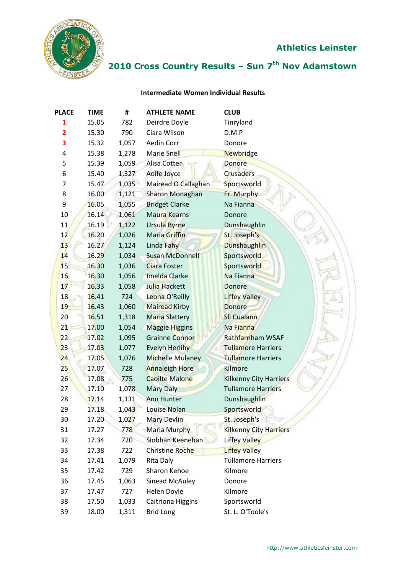

# **2010 Cross Country Results – Sun 7 th Nov Adamstown**

#### **Intermediate Women Individual Results**

| <b>PLACE</b>   | <b>TIME</b> | #     | <b>ATHLETE NAME</b>      | <b>CLUB</b>                   |
|----------------|-------------|-------|--------------------------|-------------------------------|
| 1              | 15.05       | 782   | Deirdre Doyle            | Tinryland                     |
| $\overline{2}$ | 15.30       | 790   | Ciara Wilson             | D.M.P                         |
| 3              | 15.32       | 1,057 | Aedin Corr               | Donore                        |
| 4              | 15.38       | 1,278 | <b>Marie Snell</b>       | Newbridge                     |
| 5              | 15.39       | 1,059 | Alisa Cotter             | <b>Donore</b>                 |
| 6              | 15.40       | 1,327 | Aoife Joyce              | Crusaders                     |
| 7              | 15.47       | 1,035 | Mairead O Callaghan      | Sportsworld                   |
| 8              | 16.00       | 1,121 | <b>Sharon Monaghan</b>   | Fr. Murphy                    |
| 9              | 16.05       | 1,055 | <b>Bridget Clarke</b>    | Na Fianna                     |
| 10             | 16.14       | 1,061 | Maura Kearns             | Donore                        |
| 11             | 16.19       | 1,122 | Ursula Byrne             | Dunshaughlin                  |
| 12             | 16.20       | 1,026 | Maria Griffin            | St. Joseph's                  |
| 13             | 16.27       | 1,124 | Linda Fahy               | <b>Dunshaughlin</b>           |
| 14             | 16.29       | 1,034 | <b>Susan McDonnell</b>   | Sportsworld                   |
| 15             | 16.30       | 1,036 | <b>Ciara Foster</b>      | Sportsworld                   |
| 16             | 16.30       | 1,056 | <b>Imelda Clarke</b>     | Na Fianna                     |
| 17             | 16.33       | 1,058 | Julia Hackett            | <b>Donore</b>                 |
| 18             | 16.41       | 724   | Leona O'Reilly           | <b>Liffey Valley</b>          |
| 19             | 16.43       | 1,060 | <b>Mairead Kirby</b>     | <b>Donore</b>                 |
| 20             | 16.51       | 1,318 | <b>Maria Slattery</b>    | Sli Cualann                   |
| 21             | 17.00       | 1,054 | <b>Maggie Higgins</b>    | Na Fianna                     |
| 22             | 17.02       | 1,095 | <b>Grainne Connor</b>    | Rathfarnham WSAF              |
| 23             | 17.03       | 1,077 | Evelyn Herlihy           | <b>Tullamore Harriers</b>     |
| 24             | 17.05       | 1,076 | <b>Michelle Mulaney</b>  | <b>Tullamore Harriers</b>     |
| 25             | 17.07       | 728   | <b>Annaleigh Hore</b>    | Kilmore                       |
| 26             | 17.08       | 775   | <b>Caoilte Malone</b>    | <b>Kilkenny City Harriers</b> |
| 27             | 17.10       | 1,078 | <b>Mary Daly</b>         | <b>Tullamore Harriers</b>     |
| 28             | 17.14       | 1,131 | <b>Ann Hunter</b>        | Dunshaughlin                  |
| 29             | 17.18       | 1,043 | Louise Nolan             | Sportsworld                   |
| 30             | 17.20       | 1,027 | <b>Mary Devlin</b>       | St. Joseph's                  |
| 31             | 17.27       | 778   | <b>Maria Murphy</b>      | <b>Kilkenny City Harriers</b> |
| 32             | 17.34       | 720   | Siobhan Keenehan         | Liffey Valley                 |
| 33             | 17.38       | 722   | <b>Christine Roche</b>   | <b>Liffey Valley</b>          |
| 34             | 17.41       | 1,079 | Rita Daly                | <b>Tullamore Harriers</b>     |
| 35             | 17.42       | 729   | Sharon Kehoe             | Kilmore                       |
| 36             | 17.45       | 1,063 | Sinead McAuley           | Donore                        |
| 37             | 17.47       | 727   | Helen Doyle              | Kilmore                       |
| 38             | 17.50       | 1,033 | <b>Caitriona Higgins</b> | Sportsworld                   |
| 39             | 18.00       | 1,311 | <b>Brid Long</b>         | St. L. O'Toole's              |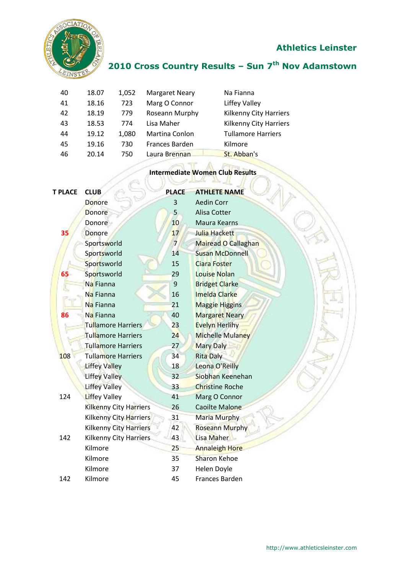

## **2010 Cross Country Results – Sun 7 th Nov Adamstown**

| 40 | 18.07 | 1,052 | <b>Margaret Neary</b> | Na Fianna                     |
|----|-------|-------|-----------------------|-------------------------------|
| 41 | 18.16 | 723   | Marg O Connor         | Liffey Valley                 |
| 42 | 18.19 | 779   | Roseann Murphy        | <b>Kilkenny City Harriers</b> |
| 43 | 18.53 | 774   | Lisa Maher            | <b>Kilkenny City Harriers</b> |
| 44 | 19.12 | 1,080 | Martina Conlon        | <b>Tullamore Harriers</b>     |
| 45 | 19.16 | 730   | Frances Barden        | Kilmore                       |
| 46 | 20.14 | 750   | Laura Brennan         | St. Abban's                   |
|    |       |       |                       |                               |

# **Intermediate Women Club Results**

| T PLACE | <b>CLUB</b>                   | <b>PLACE</b>   | <b>ATHLETE NAME</b>     |
|---------|-------------------------------|----------------|-------------------------|
|         | <b>Donore</b>                 | 3              | <b>Aedin Corr</b>       |
|         | <b>Donore</b>                 | 5              | Alisa Cotter            |
|         | Donore                        | 10             | Maura Kearns            |
|         |                               |                |                         |
| 35      | Donore                        | 17             | Julia Hackett           |
|         | Sportsworld                   | $\overline{7}$ | Mairead O Callaghan     |
|         | Sportsworld                   | 14             | <b>Susan McDonnell</b>  |
|         | Sportsworld                   | 15             | <b>Ciara Foster</b>     |
| 65      | Sportsworld                   | 29             | <b>Louise Nolan</b>     |
|         | Na Fianna                     | 9              | <b>Bridget Clarke</b>   |
|         | Na Fianna                     | 16             | <b>Imelda Clarke</b>    |
|         | Na Fianna                     | 21             | <b>Maggie Higgins</b>   |
| 86      | Na Fianna                     | 40             | <b>Margaret Neary</b>   |
|         | <b>Tullamore Harriers</b>     | 23             | <b>Evelyn Herlihy</b>   |
|         | <b>Tullamore Harriers</b>     | 24             | <b>Michelle Mulaney</b> |
|         | <b>Tullamore Harriers</b>     | 27             | <b>Mary Daly</b>        |
| 108     | <b>Tullamore Harriers</b>     | 34             | <b>Rita Daly</b>        |
|         | <b>Liffey Valley</b>          | 18             | Leona O'Reilly          |
|         | <b>Liffey Valley</b>          | 32             | Siobhan Keenehan        |
|         | <b>Liffey Valley</b>          | 33             | <b>Christine Roche</b>  |
| 124     | <b>Liffey Valley</b>          | 41             | Marg O Connor           |
|         | <b>Kilkenny City Harriers</b> | 26             | <b>Caoilte Malone</b>   |
|         | Kilkenny City Harriers        | 31             | <b>Maria Murphy</b>     |
|         | <b>Kilkenny City Harriers</b> | 42             | <b>Roseann Murphy</b>   |
| 142     | Kilkenny City Harriers        | 43             | Lisa Maher              |
|         | Kilmore                       | 25             | <b>Annaleigh Hore</b>   |
|         | Kilmore                       | 35             | <b>Sharon Kehoe</b>     |
|         | Kilmore                       | 37             | Helen Doyle             |
| 142     | Kilmore                       | 45             | <b>Frances Barden</b>   |
|         |                               |                |                         |